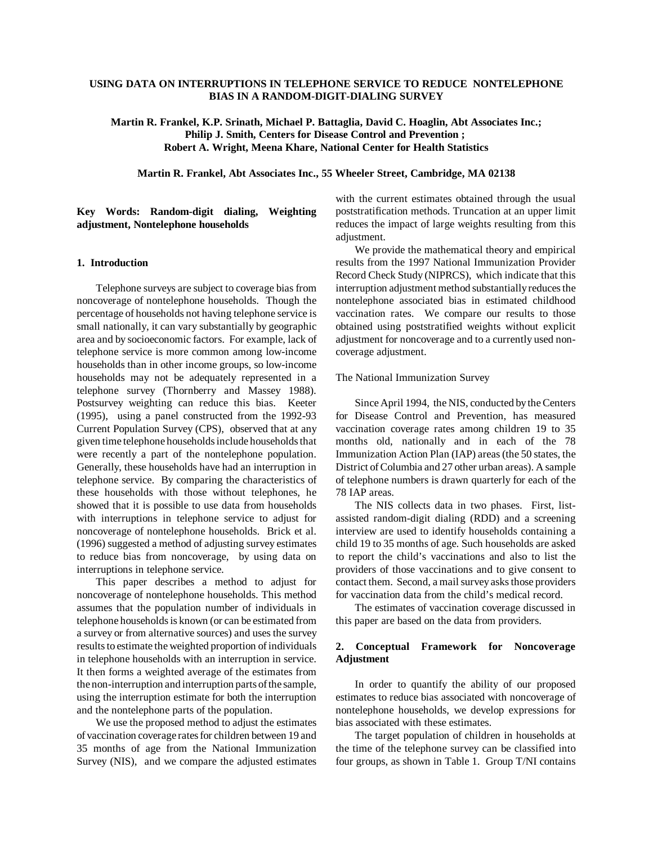### **USING DATA ON INTERRUPTIONS IN TELEPHONE SERVICE TO REDUCE NONTELEPHONE BIAS IN A RANDOM-DIGIT-DIALING SURVEY**

**Martin R. Frankel, K.P. Srinath, Michael P. Battaglia, David C. Hoaglin, Abt Associates Inc.; Philip J. Smith, Centers for Disease Control and Prevention ; Robert A. Wright, Meena Khare, National Center for Health Statistics**

**Martin R. Frankel, Abt Associates Inc., 55 Wheeler Street, Cambridge, MA 02138**

**Key Words: Random-digit dialing, Weighting adjustment, Nontelephone households** 

### **1. Introduction**

Telephone surveys are subject to coverage bias from noncoverage of nontelephone households. Though the percentage of households not having telephone service is small nationally, it can vary substantially by geographic area and by socioeconomic factors. For example, lack of telephone service is more common among low-income households than in other income groups, so low-income households may not be adequately represented in a telephone survey (Thornberry and Massey 1988). Postsurvey weighting can reduce this bias. Keeter (1995), using a panel constructed from the 1992-93 Current Population Survey (CPS), observed that at any given time telephone households include households that were recently a part of the nontelephone population. Generally, these households have had an interruption in telephone service. By comparing the characteristics of these households with those without telephones, he showed that it is possible to use data from households with interruptions in telephone service to adjust for noncoverage of nontelephone households. Brick et al. (1996) suggested a method of adjusting survey estimates to reduce bias from noncoverage, by using data on interruptions in telephone service.

This paper describes a method to adjust for noncoverage of nontelephone households. This method assumes that the population number of individuals in telephone households is known (or can be estimated from a survey or from alternative sources) and uses the survey results to estimate the weighted proportion of individuals in telephone households with an interruption in service. It then forms a weighted average of the estimates from the non-interruption and interruption parts of the sample, using the interruption estimate for both the interruption and the nontelephone parts of the population.

We use the proposed method to adjust the estimates of vaccination coverage rates for children between 19 and 35 months of age from the National Immunization Survey (NIS), and we compare the adjusted estimates with the current estimates obtained through the usual poststratification methods. Truncation at an upper limit reduces the impact of large weights resulting from this adjustment.

We provide the mathematical theory and empirical results from the 1997 National Immunization Provider Record Check Study (NIPRCS), which indicate that this interruption adjustment method substantially reduces the nontelephone associated bias in estimated childhood vaccination rates. We compare our results to those obtained using poststratified weights without explicit adjustment for noncoverage and to a currently used noncoverage adjustment.

#### The National Immunization Survey

Since April 1994, the NIS, conducted by the Centers for Disease Control and Prevention, has measured vaccination coverage rates among children 19 to 35 months old, nationally and in each of the 78 Immunization Action Plan (IAP) areas (the 50 states, the District of Columbia and 27 other urban areas). A sample of telephone numbers is drawn quarterly for each of the 78 IAP areas.

The NIS collects data in two phases. First, listassisted random-digit dialing (RDD) and a screening interview are used to identify households containing a child 19 to 35 months of age. Such households are asked to report the child's vaccinations and also to list the providers of those vaccinations and to give consent to contact them. Second, a mail survey asks those providers for vaccination data from the child's medical record.

The estimates of vaccination coverage discussed in this paper are based on the data from providers.

### **2. Conceptual Framework for Noncoverage Adjustment**

In order to quantify the ability of our proposed estimates to reduce bias associated with noncoverage of nontelephone households, we develop expressions for bias associated with these estimates.

The target population of children in households at the time of the telephone survey can be classified into four groups, as shown in Table 1. Group T/NI contains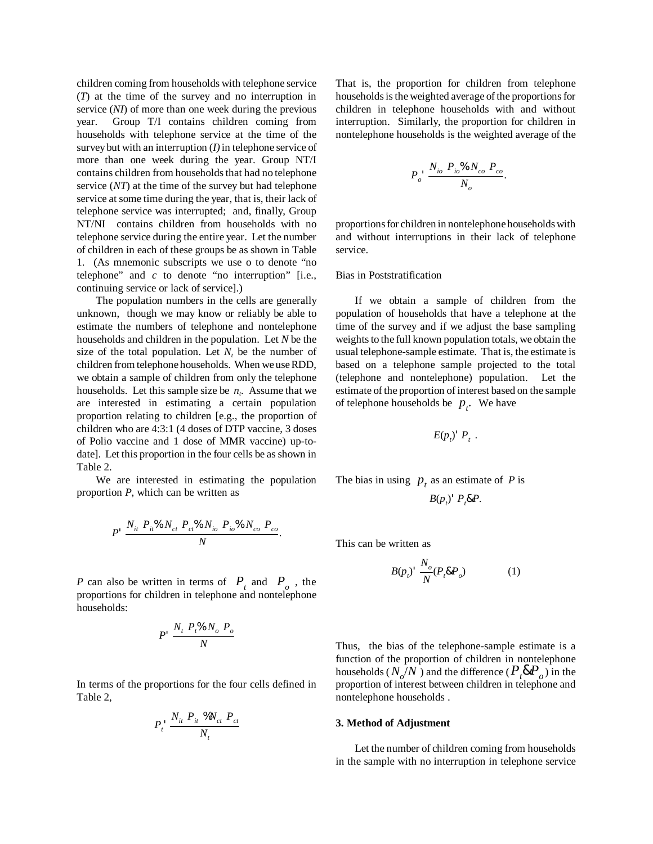children coming from households with telephone service (*T*) at the time of the survey and no interruption in service (*NI*) of more than one week during the previous year. Group T/I contains children coming from households with telephone service at the time of the survey but with an interruption (*I)* in telephone service of more than one week during the year. Group NT/I contains children from households that had no telephone service (*NT*) at the time of the survey but had telephone service at some time during the year, that is, their lack of telephone service was interrupted; and, finally, Group NT/NI contains children from households with no telephone service during the entire year. Let the number of children in each of these groups be as shown in Table 1. (As mnemonic subscripts we use o to denote "no telephone" and *c* to denote "no interruption" [i.e., continuing service or lack of service].)

The population numbers in the cells are generally unknown, though we may know or reliably be able to estimate the numbers of telephone and nontelephone households and children in the population. Let *N* be the size of the total population. Let  $N_t$  be the number of children from telephone households. When we use RDD, we obtain a sample of children from only the telephone households. Let this sample size be  $n_t$ . Assume that we are interested in estimating a certain population proportion relating to children [e.g., the proportion of children who are 4:3:1 (4 doses of DTP vaccine, 3 doses of Polio vaccine and 1 dose of MMR vaccine) up-todate]. Let this proportion in the four cells be as shown in Table 2.

We are interested in estimating the population proportion *P*, which can be written as

$$
P' \frac{N_{it} P_{it}^{\%} N_{ct} P_{ct}^{\%} N_{io} P_{io}^{\%} N_{co} P_{co}}{N}.
$$

*P* can also be written in terms of  $P_t$  and  $P_o$ , the proportions for children in telephone and nontelephone households:

$$
P' \frac{N_t P_t \% N_o P_o}{N}
$$

In terms of the proportions for the four cells defined in Table 2,

$$
P_t^{\perp} \frac{N_{it} P_{it} \% N_{ct} P_{ct}}{N_t}
$$

That is, the proportion for children from telephone households is the weighted average of the proportions for children in telephone households with and without interruption. Similarly, the proportion for children in nontelephone households is the weighted average of the

$$
P_o \cdot \frac{N_{io} P_{io} \% N_{co} P_{co}}{N_o}.
$$

proportions for children in nontelephone households with and without interruptions in their lack of telephone service.

#### Bias in Poststratification

If we obtain a sample of children from the population of households that have a telephone at the time of the survey and if we adjust the base sampling weights to the full known population totals, we obtain the usual telephone-sample estimate. That is, the estimate is based on a telephone sample projected to the total (telephone and nontelephone) population. Let the estimate of the proportion of interest based on the sample of telephone households be  $p_t$ . We have

$$
E(p_i)^{\dagger} P_t \; .
$$

The bias in using  $p_t$  as an estimate of P is

$$
B(p_t)^{T} P_t \& P.
$$

This can be written as

$$
B(p_i) \cdot \frac{N_o}{N} (P_i \& P_o) \tag{1}
$$

Thus, the bias of the telephone-sample estimate is a function of the proportion of children in nontelephone households  $(N_o/N)$  and the difference  $(P_t \& P_o)$  in the proportion of interest between children in telephone and nontelephone households .

#### **3. Method of Adjustment**

Let the number of children coming from households in the sample with no interruption in telephone service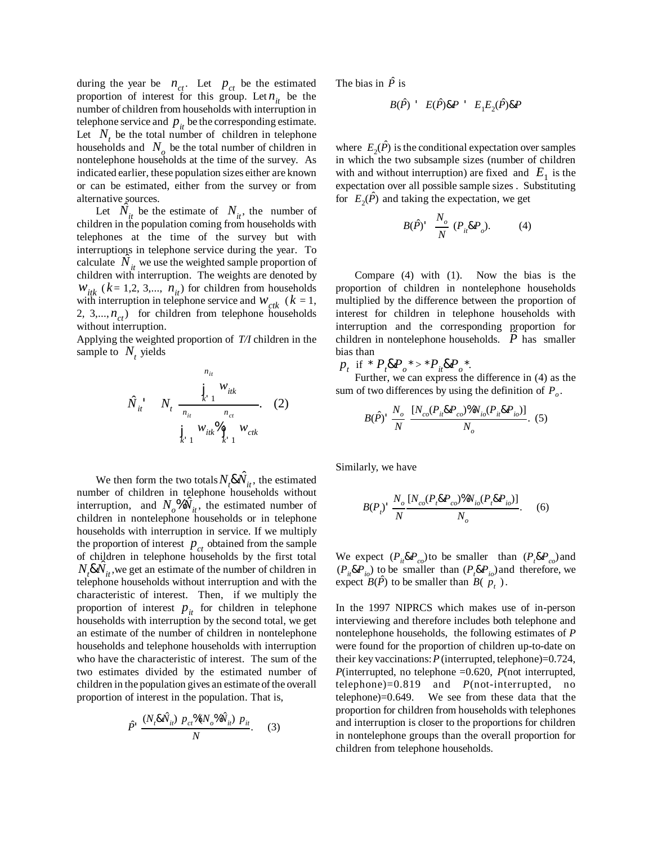during the year be  $n_{ct}$ . Let  $p_{ct}$  be the estimated proportion of interest for this group. Let  $n_{it}$  be the number of children from households with interruption in telephone service and  $p_{it}$  be the corresponding estimate. Let  $N_t$  be the total number of children in telephone households and  $N_a$  be the total number of children in nontelephone households at the time of the survey. As indicated earlier, these population sizes either are known or can be estimated, either from the survey or from alternative sources.

Let  $\hat{N}_{it}$  be the estimate of  $N_{it}$ , the number of children in the population coming from households with telephones at the time of the survey but with interruptions in telephone service during the year. To calculate  $\hat{N}_{it}$  we use the weighted sample proportion of children with interruption. The weights are denoted by  $W_{itk}$  ( $k = 1,2,3,..., n_{it}$ ) for children from households with interruption in telephone service and  $W_{\text{ctk}}$  ( $k = 1$ , 2, 3,..., $n_{ct}$ ) for children from telephone households without interruption.

Applying the weighted proportion of *T/I* children in the sample to  $N_t$ , yields

$$
\hat{N}_{it} = N_t \frac{\int_{k=1}^{n_{it}} W_{itk}}{\frac{1}{n_{it}} \sum_{n_{ct}}^{n_{ct}}}.
$$
 (2)  

$$
\int_{k=1}^{1} W_{itk} \frac{W_{it}}{\int_{k=1}^{1} W_{ctk}}
$$

We then form the two totals  $N_t$ & $\hat{N}_{it}$ , the estimated number of children in telephone households without interruption, and  $N_o^{\phi} \hat{N}_{it}^{\dagger}$ , the estimated number of children in nontelephone households or in telephone households with interruption in service. If we multiply the proportion of interest  $p_{ct}$  obtained from the sample of children in telephone households by the first total  $N_f \& \hat{N}_i$ , we get an estimate of the number of children in telephone households without interruption and with the characteristic of interest. Then, if we multiply the proportion of interest  $p_{it}$  for children in telephone households with interruption by the second total, we get an estimate of the number of children in nontelephone households and telephone households with interruption who have the characteristic of interest. The sum of the two estimates divided by the estimated number of children in the population gives an estimate of the overall proportion of interest in the population. That is,

$$
\hat{P} \frac{(N_t \& \hat{N}_{it}) \ p_{ct} \frac{\%}{N} (N_o \& \hat{N}_{it}) \ p_{it}}{N}.
$$
 (3)

The bias in  $\hat{P}$  is

$$
B(\hat{P}) \quad E(\hat{P}) \& P \quad E_1 E_2(\hat{P}) \& P
$$

where  $E_2(\hat{P})$  is the conditional expectation over samples in which the two subsample sizes (number of children with and without interruption) are fixed and  $E_1$  is the expectation over all possible sample sizes . Substituting for  $E_2(\hat{P})$  and taking the expectation, we get

$$
B(\hat{P})^{\dagger} \quad \frac{N_o}{N} \quad (P_{ii} \& P_o). \tag{4}
$$

Compare (4) with (1). Now the bias is the proportion of children in nontelephone households multiplied by the difference between the proportion of interest for children in telephone households with interruption and the corresponding proportion for children in nontelephone households.  $P$  has smaller bias than

 $p_{t}$  if \*  $P_{t}$ & $P_{o}$ \* > \*  $P_{it}$ & $P_{o}$ \*.

Further, we can express the difference in (4) as the sum of two differences by using the definition of  $P<sub>o</sub>$ .

$$
B(\hat{P}) \frac{N_o}{N} \frac{[N_{co}(P_{it} \& P_{co}) \% N_{io}(P_{it} \& P_{io})]}{N_o}.
$$
 (5)

Similarly, we have

$$
B(P_i) \frac{N_o}{N} \frac{[N_{co}(P_i \& P_{co})\%N_{io}(P_i \& P_{io})]}{N_o}.
$$
 (6)

We expect  $(P_i \& P_{co})$  to be smaller than  $(P_i \& P_{co})$  and  $(P_i \& P_i)$  to be smaller than  $(P_i \& P_i)$  and therefore, we expect  $B(\hat{P})$  to be smaller than  $B(p_t)$ .

In the 1997 NIPRCS which makes use of in-person interviewing and therefore includes both telephone and nontelephone households, the following estimates of *P*  were found for the proportion of children up-to-date on their key vaccinations: *P* (interrupted, telephone)=0.724, *P*(interrupted, no telephone =0.620, *P*(not interrupted, telephone)=0.819 and *P*(not-interrupted, no telephone)=0.649. We see from these data that the proportion for children from households with telephones and interruption is closer to the proportions for children in nontelephone groups than the overall proportion for children from telephone households.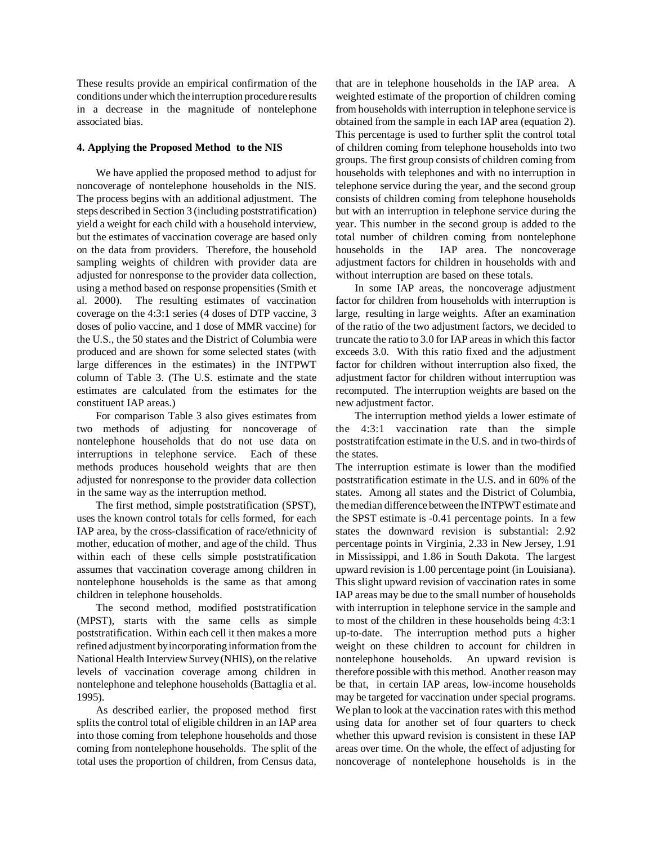These results provide an empirical confirmation of the conditions under which the interruption procedure results in a decrease in the magnitude of nontelephone associated bias.

### **4. Applying the Proposed Method to the NIS**

We have applied the proposed method to adjust for noncoverage of nontelephone households in the NIS. The process begins with an additional adjustment. The steps described in Section 3 (including poststratification) yield a weight for each child with a household interview, but the estimates of vaccination coverage are based only on the data from providers. Therefore, the household sampling weights of children with provider data are adjusted for nonresponse to the provider data collection, using a method based on response propensities (Smith et al. 2000). The resulting estimates of vaccination coverage on the 4:3:1 series (4 doses of DTP vaccine, 3 doses of polio vaccine, and 1 dose of MMR vaccine) for the U.S., the 50 states and the District of Columbia were produced and are shown for some selected states (with large differences in the estimates) in the INTPWT column of Table 3. (The U.S. estimate and the state estimates are calculated from the estimates for the constituent IAP areas.)

For comparison Table 3 also gives estimates from two methods of adjusting for noncoverage of nontelephone households that do not use data on interruptions in telephone service. Each of these methods produces household weights that are then adjusted for nonresponse to the provider data collection in the same way as the interruption method.

The first method, simple poststratification (SPST), uses the known control totals for cells formed, for each IAP area, by the cross-classification of race/ethnicity of mother, education of mother, and age of the child. Thus within each of these cells simple poststratification assumes that vaccination coverage among children in nontelephone households is the same as that among children in telephone households.

The second method, modified poststratification (MPST), starts with the same cells as simple poststratification. Within each cell it then makes a more refined adjustment by incorporating information from the National Health Interview Survey (NHIS), on the relative levels of vaccination coverage among children in nontelephone and telephone households (Battaglia et al. 1995).

As described earlier, the proposed method first splits the control total of eligible children in an IAP area into those coming from telephone households and those coming from nontelephone households. The split of the total uses the proportion of children, from Census data, that are in telephone households in the IAP area. A weighted estimate of the proportion of children coming from households with interruption in telephone service is obtained from the sample in each IAP area (equation 2). This percentage is used to further split the control total of children coming from telephone households into two groups. The first group consists of children coming from households with telephones and with no interruption in telephone service during the year, and the second group consists of children coming from telephone households but with an interruption in telephone service during the year. This number in the second group is added to the total number of children coming from nontelephone households in the IAP area. The noncoverage adjustment factors for children in households with and without interruption are based on these totals.

In some IAP areas, the noncoverage adjustment factor for children from households with interruption is large, resulting in large weights. After an examination of the ratio of the two adjustment factors, we decided to truncate the ratio to 3.0 for IAP areas in which this factor exceeds 3.0. With this ratio fixed and the adjustment factor for children without interruption also fixed, the adjustment factor for children without interruption was recomputed. The interruption weights are based on the new adjustment factor.

The interruption method yields a lower estimate of the 4:3:1 vaccination rate than the simple poststratifcation estimate in the U.S. and in two-thirds of the states.

The interruption estimate is lower than the modified poststratification estimate in the U.S. and in 60% of the states. Among all states and the District of Columbia, the median difference between the INTPWT estimate and the SPST estimate is -0.41 percentage points. In a few states the downward revision is substantial: 2.92 percentage points in Virginia, 2.33 in New Jersey, 1.91 in Mississippi, and 1.86 in South Dakota. The largest upward revision is 1.00 percentage point (in Louisiana). This slight upward revision of vaccination rates in some IAP areas may be due to the small number of households with interruption in telephone service in the sample and to most of the children in these households being 4:3:1 up-to-date. The interruption method puts a higher weight on these children to account for children in nontelephone households. An upward revision is therefore possible with this method. Another reason may be that, in certain IAP areas, low-income households may be targeted for vaccination under special programs. We plan to look at the vaccination rates with this method using data for another set of four quarters to check whether this upward revision is consistent in these IAP areas over time. On the whole, the effect of adjusting for noncoverage of nontelephone households is in the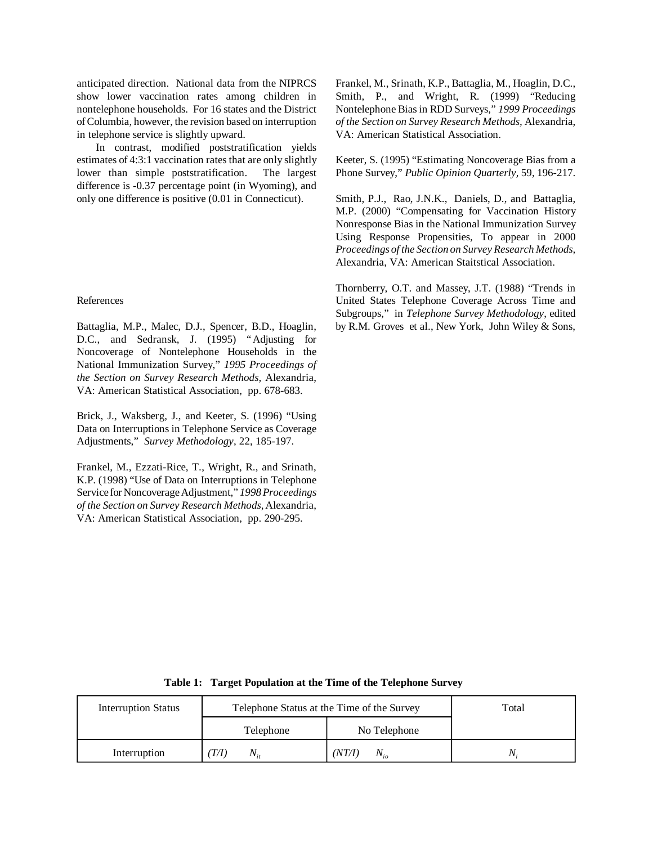anticipated direction. National data from the NIPRCS show lower vaccination rates among children in nontelephone households. For 16 states and the District of Columbia, however, the revision based on interruption in telephone service is slightly upward.

In contrast, modified poststratification yields estimates of 4:3:1 vaccination rates that are only slightly lower than simple poststratification. The largest difference is -0.37 percentage point (in Wyoming), and only one difference is positive (0.01 in Connecticut).

### References

Battaglia, M.P., Malec, D.J., Spencer, B.D., Hoaglin, D.C., and Sedransk, J. (1995) "Adjusting for Noncoverage of Nontelephone Households in the National Immunization Survey," *1995 Proceedings of the Section on Survey Research Methods,* Alexandria, VA: American Statistical Association, pp. 678-683.

Brick, J., Waksberg, J., and Keeter, S. (1996) "Using Data on Interruptions in Telephone Service as Coverage Adjustments," *Survey Methodology*, 22, 185-197.

Frankel, M., Ezzati-Rice, T., Wright, R., and Srinath, K.P. (1998) "Use of Data on Interruptions in Telephone Service for Noncoverage Adjustment," *1998 Proceedings of the Section on Survey Research Methods,* Alexandria, VA: American Statistical Association, pp. 290-295.

Frankel, M., Srinath, K.P., Battaglia, M., Hoaglin, D.C., Smith, P., and Wright, R. (1999) "Reducing Nontelephone Bias in RDD Surveys," *1999 Proceedings of the Section on Survey Research Methods,* Alexandria, VA: American Statistical Association.

Keeter, S. (1995) "Estimating Noncoverage Bias from a Phone Survey," *Public Opinion Quarterly,* 59, 196-217.

Smith, P.J., Rao, J.N.K., Daniels, D., and Battaglia, M.P. (2000) "Compensating for Vaccination History Nonresponse Bias in the National Immunization Survey Using Response Propensities, To appear in 2000 *Proceedings of the Section on Survey Research Methods,*  Alexandria, VA: American Staitstical Association.

Thornberry, O.T. and Massey, J.T. (1988) "Trends in United States Telephone Coverage Across Time and Subgroups," in *Telephone Survey Methodology*, edited by R.M. Groves et al., New York, John Wiley & Sons,

| <b>Interruption Status</b> | Telephone Status at the Time of the Survey | Total              |    |
|----------------------------|--------------------------------------------|--------------------|----|
|                            | Telephone                                  | No Telephone       |    |
| Interruption               | T/I<br>$N_{ii}$                            | (NT/I)<br>$N_{io}$ | N. |

 **Table 1: Target Population at the Time of the Telephone Survey**